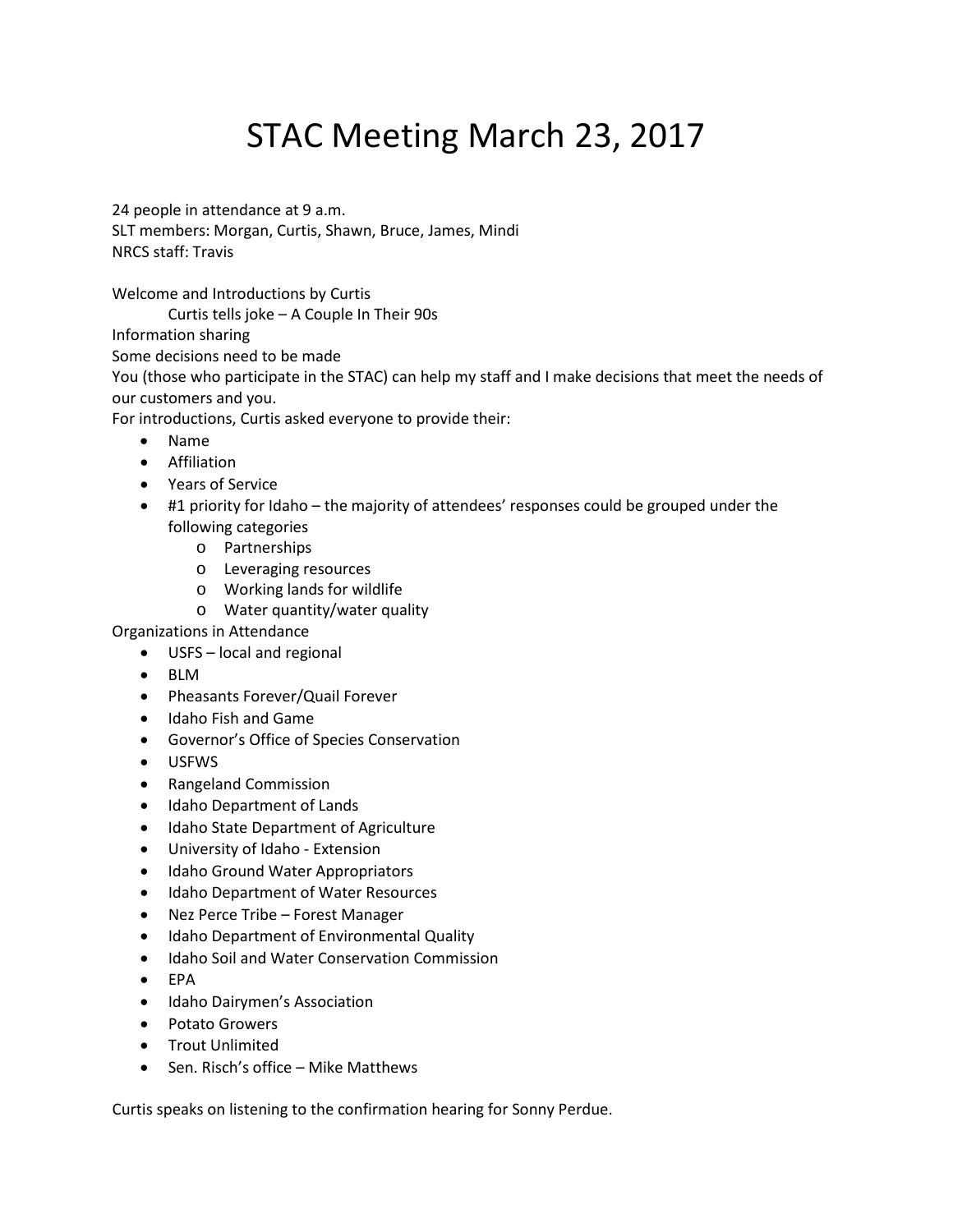# STAC Meeting March 23, 2017

24 people in attendance at 9 a.m. SLT members: Morgan, Curtis, Shawn, Bruce, James, Mindi NRCS staff: Travis

Welcome and Introductions by Curtis

Curtis tells joke – A Couple In Their 90s

Information sharing

Some decisions need to be made

You (those who participate in the STAC) can help my staff and I make decisions that meet the needs of our customers and you.

For introductions, Curtis asked everyone to provide their:

- Name
- Affiliation
- Years of Service
- #1 priority for Idaho the majority of attendees' responses could be grouped under the following categories
	- o Partnerships
	- o Leveraging resources
	- o Working lands for wildlife
	- o Water quantity/water quality

Organizations in Attendance

- USFS local and regional
- BLM
- Pheasants Forever/Quail Forever
- Idaho Fish and Game
- Governor's Office of Species Conservation
- USFWS
- Rangeland Commission
- Idaho Department of Lands
- Idaho State Department of Agriculture
- University of Idaho Extension
- Idaho Ground Water Appropriators
- Idaho Department of Water Resources
- Nez Perce Tribe Forest Manager
- Idaho Department of Environmental Quality
- Idaho Soil and Water Conservation Commission
- EPA
- Idaho Dairymen's Association
- Potato Growers
- Trout Unlimited
- Sen. Risch's office Mike Matthews

Curtis speaks on listening to the confirmation hearing for Sonny Perdue.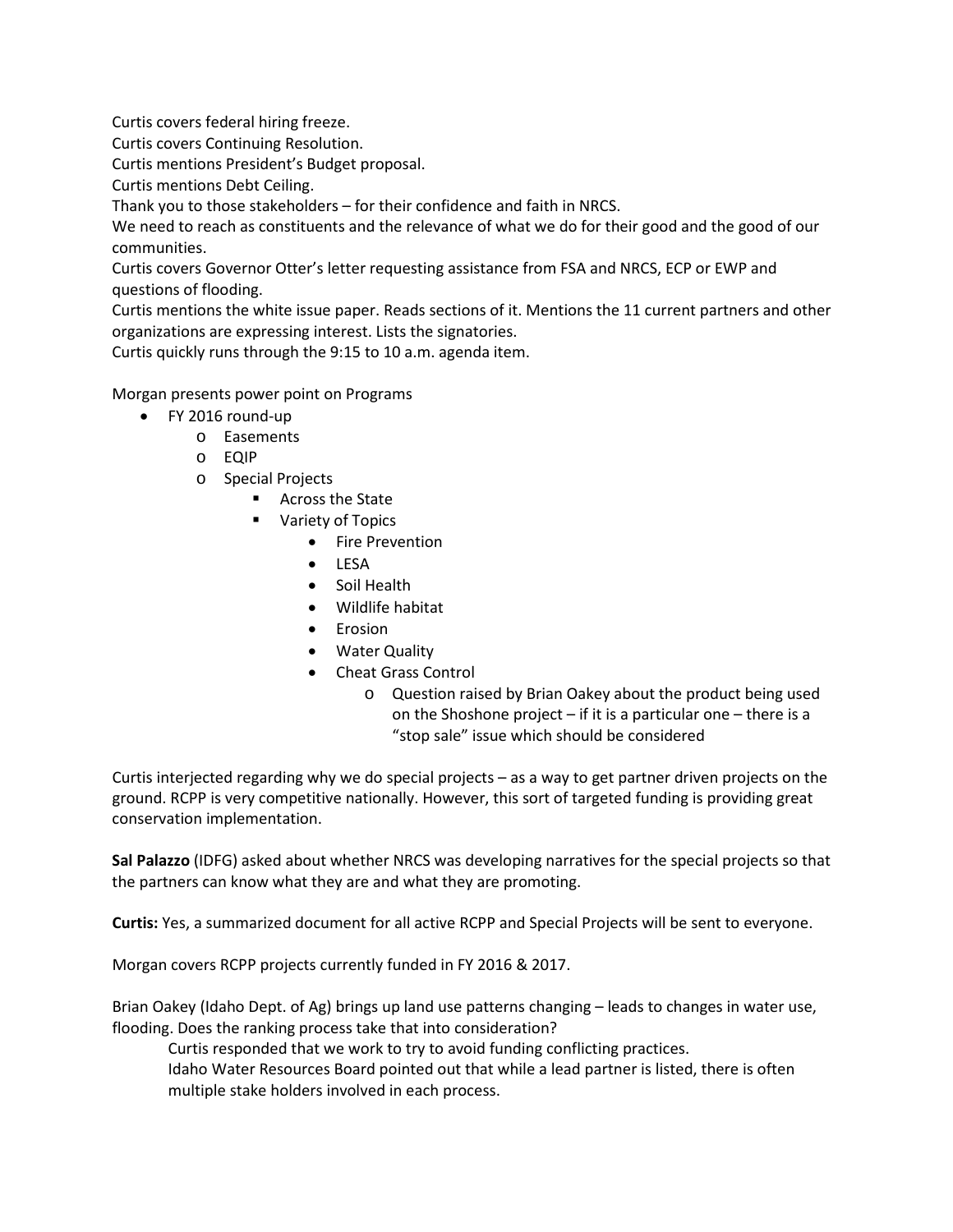Curtis covers federal hiring freeze.

Curtis covers Continuing Resolution.

Curtis mentions President's Budget proposal.

Curtis mentions Debt Ceiling.

Thank you to those stakeholders – for their confidence and faith in NRCS.

We need to reach as constituents and the relevance of what we do for their good and the good of our communities.

Curtis covers Governor Otter's letter requesting assistance from FSA and NRCS, ECP or EWP and questions of flooding.

Curtis mentions the white issue paper. Reads sections of it. Mentions the 11 current partners and other organizations are expressing interest. Lists the signatories.

Curtis quickly runs through the 9:15 to 10 a.m. agenda item.

Morgan presents power point on Programs

- FY 2016 round-up
	- o Easements
	- o EQIP
	- o Special Projects
		- Across the State
		- **Variety of Topics** 
			- Fire Prevention
			- LESA
			- Soil Health
			- Wildlife habitat
			- Erosion
			- Water Quality
			- Cheat Grass Control
				- o Question raised by Brian Oakey about the product being used on the Shoshone project  $-$  if it is a particular one  $-$  there is a "stop sale" issue which should be considered

Curtis interjected regarding why we do special projects – as a way to get partner driven projects on the ground. RCPP is very competitive nationally. However, this sort of targeted funding is providing great conservation implementation.

**Sal Palazzo** (IDFG) asked about whether NRCS was developing narratives for the special projects so that the partners can know what they are and what they are promoting.

**Curtis:** Yes, a summarized document for all active RCPP and Special Projects will be sent to everyone.

Morgan covers RCPP projects currently funded in FY 2016 & 2017.

Brian Oakey (Idaho Dept. of Ag) brings up land use patterns changing – leads to changes in water use, flooding. Does the ranking process take that into consideration?

Curtis responded that we work to try to avoid funding conflicting practices. Idaho Water Resources Board pointed out that while a lead partner is listed, there is often multiple stake holders involved in each process.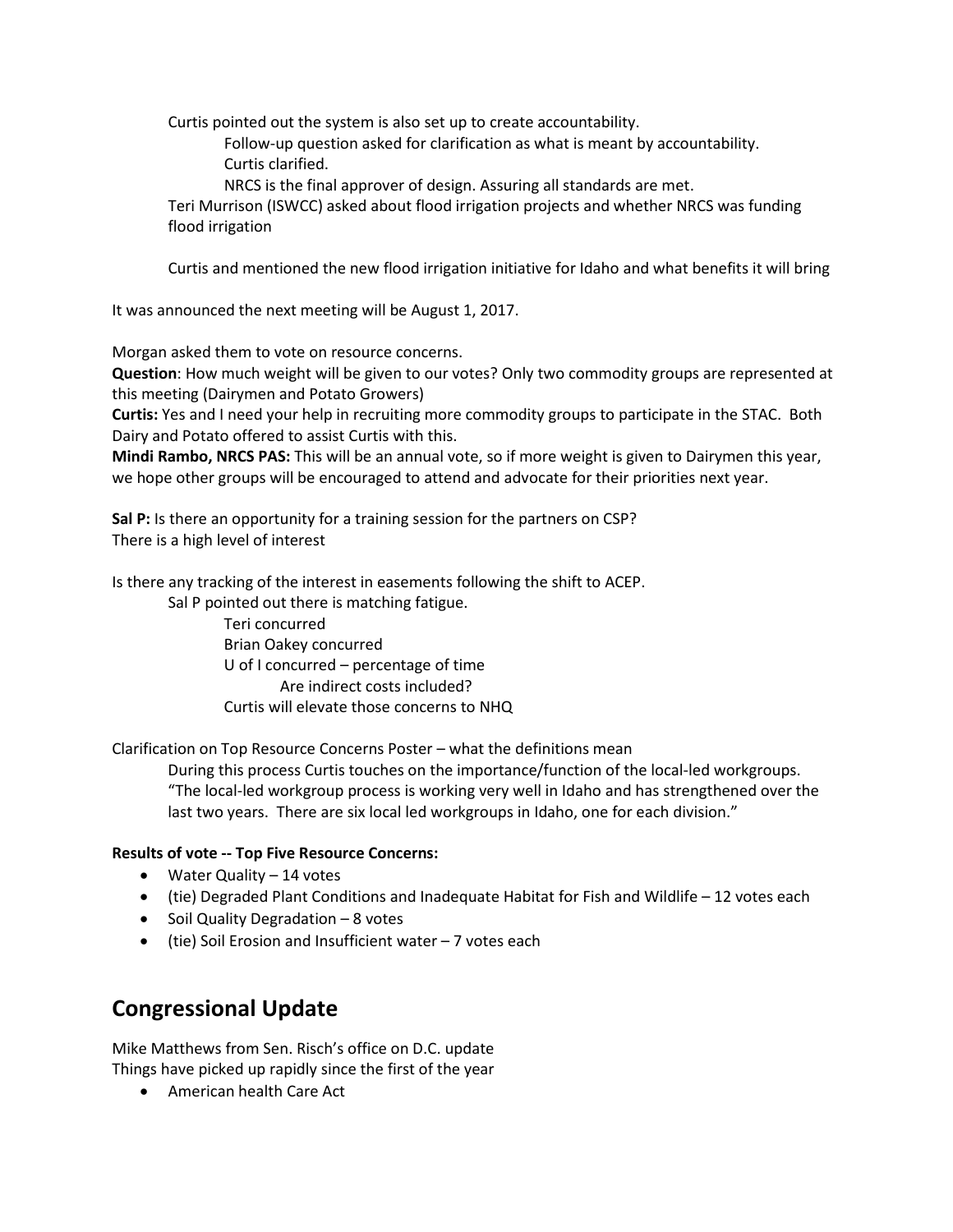Curtis pointed out the system is also set up to create accountability.

Follow-up question asked for clarification as what is meant by accountability. Curtis clarified.

NRCS is the final approver of design. Assuring all standards are met.

Teri Murrison (ISWCC) asked about flood irrigation projects and whether NRCS was funding flood irrigation

Curtis and mentioned the new flood irrigation initiative for Idaho and what benefits it will bring

It was announced the next meeting will be August 1, 2017.

Morgan asked them to vote on resource concerns.

**Question**: How much weight will be given to our votes? Only two commodity groups are represented at this meeting (Dairymen and Potato Growers)

**Curtis:** Yes and I need your help in recruiting more commodity groups to participate in the STAC. Both Dairy and Potato offered to assist Curtis with this.

**Mindi Rambo, NRCS PAS:** This will be an annual vote, so if more weight is given to Dairymen this year, we hope other groups will be encouraged to attend and advocate for their priorities next year.

**Sal P:** Is there an opportunity for a training session for the partners on CSP? There is a high level of interest

Is there any tracking of the interest in easements following the shift to ACEP.

Sal P pointed out there is matching fatigue.

Teri concurred Brian Oakey concurred U of I concurred – percentage of time Are indirect costs included? Curtis will elevate those concerns to NHQ

Clarification on Top Resource Concerns Poster – what the definitions mean

During this process Curtis touches on the importance/function of the local-led workgroups. "The local-led workgroup process is working very well in Idaho and has strengthened over the last two years. There are six local led workgroups in Idaho, one for each division."

#### **Results of vote -- Top Five Resource Concerns:**

- Water Quality 14 votes
- (tie) Degraded Plant Conditions and Inadequate Habitat for Fish and Wildlife 12 votes each
- Soil Quality Degradation 8 votes
- (tie) Soil Erosion and Insufficient water 7 votes each

# **Congressional Update**

Mike Matthews from Sen. Risch's office on D.C. update Things have picked up rapidly since the first of the year

• American health Care Act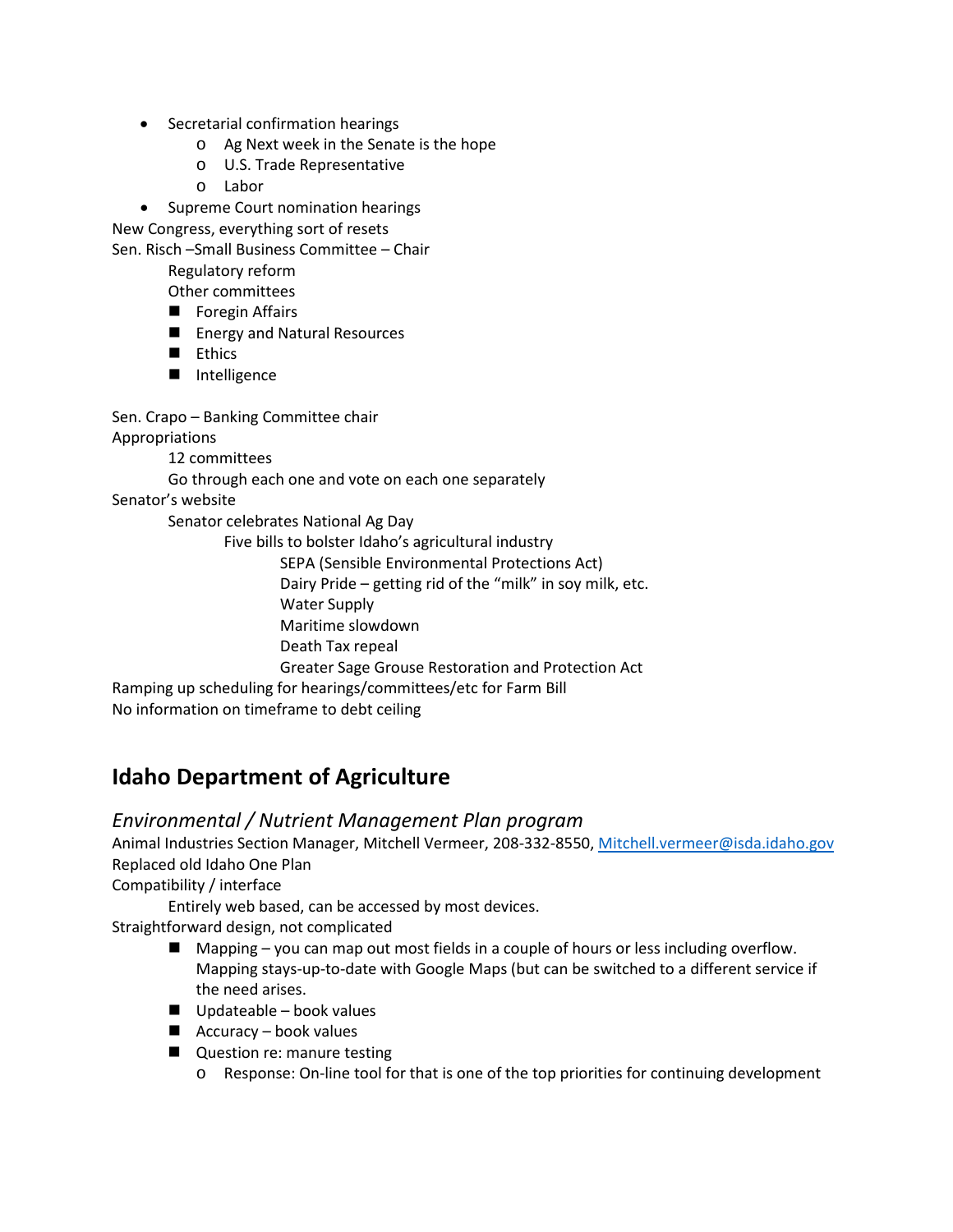- Secretarial confirmation hearings
	- o Ag Next week in the Senate is the hope
	- o U.S. Trade Representative
	- o Labor

• Supreme Court nomination hearings New Congress, everything sort of resets

Sen. Risch –Small Business Committee – Chair

Regulatory reform

Other committees

- **F** Foregin Affairs
- **E** Energy and Natural Resources
- **Ethics**
- Intelligence

Sen. Crapo – Banking Committee chair

Appropriations

12 committees

Go through each one and vote on each one separately

Senator's website

Senator celebrates National Ag Day

Five bills to bolster Idaho's agricultural industry

SEPA (Sensible Environmental Protections Act)

Dairy Pride – getting rid of the "milk" in soy milk, etc.

Water Supply

Maritime slowdown

Death Tax repeal

Greater Sage Grouse Restoration and Protection Act

Ramping up scheduling for hearings/committees/etc for Farm Bill

No information on timeframe to debt ceiling

# **Idaho Department of Agriculture**

## *Environmental / Nutrient Management Plan program*

Animal Industries Section Manager, Mitchell Vermeer, 208-332-8550[, Mitchell.vermeer@isda.idaho.gov](mailto:Mitchell.vermeer@isda.idaho.gov) Replaced old Idaho One Plan

Compatibility / interface

Entirely web based, can be accessed by most devices.

Straightforward design, not complicated

- $\blacksquare$  Mapping you can map out most fields in a couple of hours or less including overflow. Mapping stays-up-to-date with Google Maps (but can be switched to a different service if the need arises.
- $\Box$  Updateable book values
- $\blacksquare$  Accuracy book values
- **Question re: manure testing** 
	- o Response: On-line tool for that is one of the top priorities for continuing development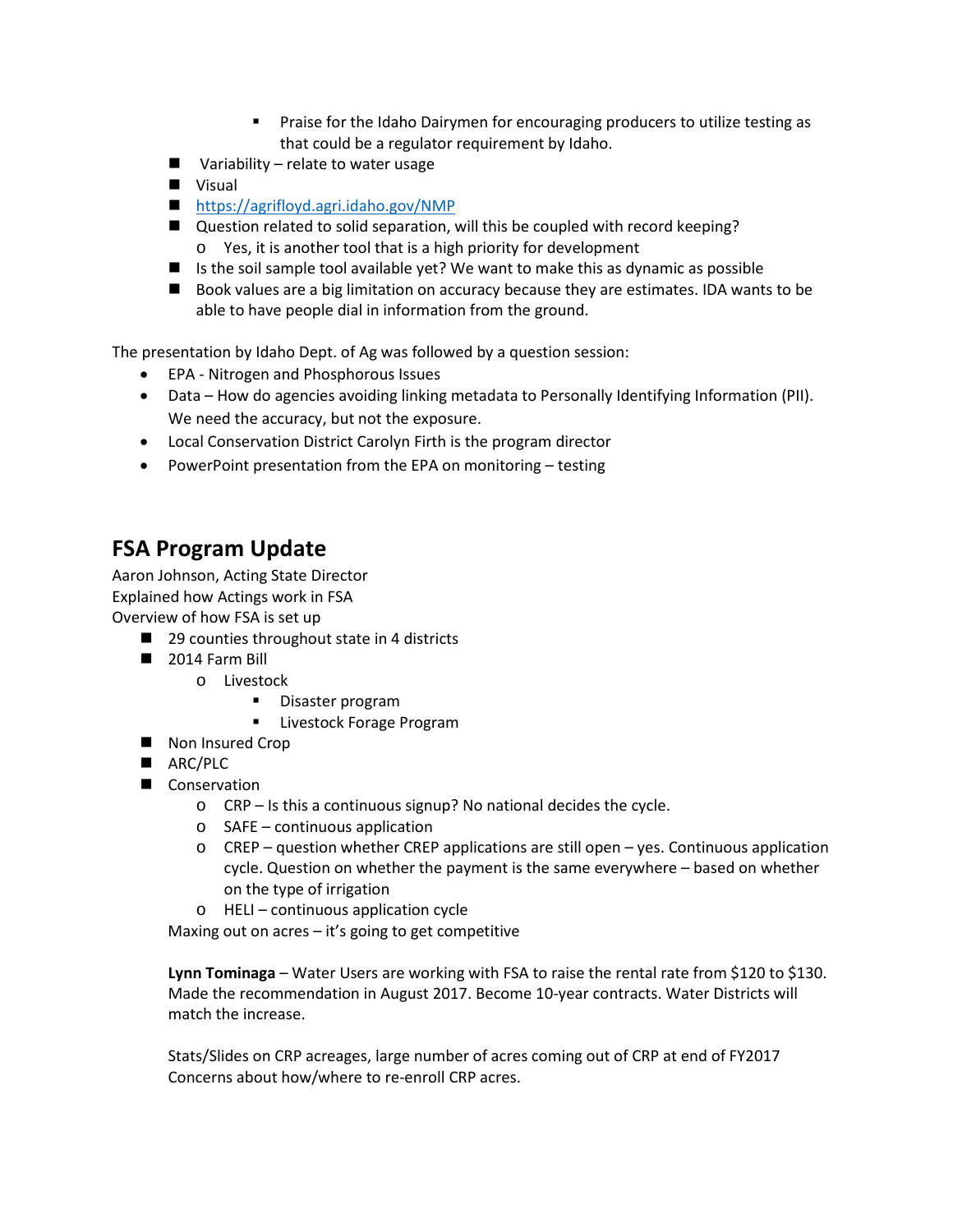- **Praise for the Idaho Dairymen for encouraging producers to utilize testing as** that could be a regulator requirement by Idaho.
- $\blacksquare$  Variability relate to water usage
- **New Visual**
- <https://agrifloyd.agri.idaho.gov/NMP>
- Question related to solid separation, will this be coupled with record keeping? o Yes, it is another tool that is a high priority for development
- If is the soil sample tool available yet? We want to make this as dynamic as possible
- Book values are a big limitation on accuracy because they are estimates. IDA wants to be able to have people dial in information from the ground.

The presentation by Idaho Dept. of Ag was followed by a question session:

- EPA Nitrogen and Phosphorous Issues
- Data How do agencies avoiding linking metadata to Personally Identifying Information (PII). We need the accuracy, but not the exposure.
- Local Conservation District Carolyn Firth is the program director
- PowerPoint presentation from the EPA on monitoring testing

## **FSA Program Update**

Aaron Johnson, Acting State Director Explained how Actings work in FSA Overview of how FSA is set up

- 29 counties throughout state in 4 districts
- 2014 Farm Bill
	- o Livestock
		- **-** Disaster program
		- **Livestock Forage Program**
- Non Insured Crop
- ARC/PLC
- Conservation
	- o CRP Is this a continuous signup? No national decides the cycle.
	- o SAFE continuous application
	- o CREP question whether CREP applications are still open yes. Continuous application cycle. Question on whether the payment is the same everywhere – based on whether on the type of irrigation
	- o HELI continuous application cycle

Maxing out on acres – it's going to get competitive

**Lynn Tominaga** – Water Users are working with FSA to raise the rental rate from \$120 to \$130. Made the recommendation in August 2017. Become 10-year contracts. Water Districts will match the increase.

Stats/Slides on CRP acreages, large number of acres coming out of CRP at end of FY2017 Concerns about how/where to re-enroll CRP acres.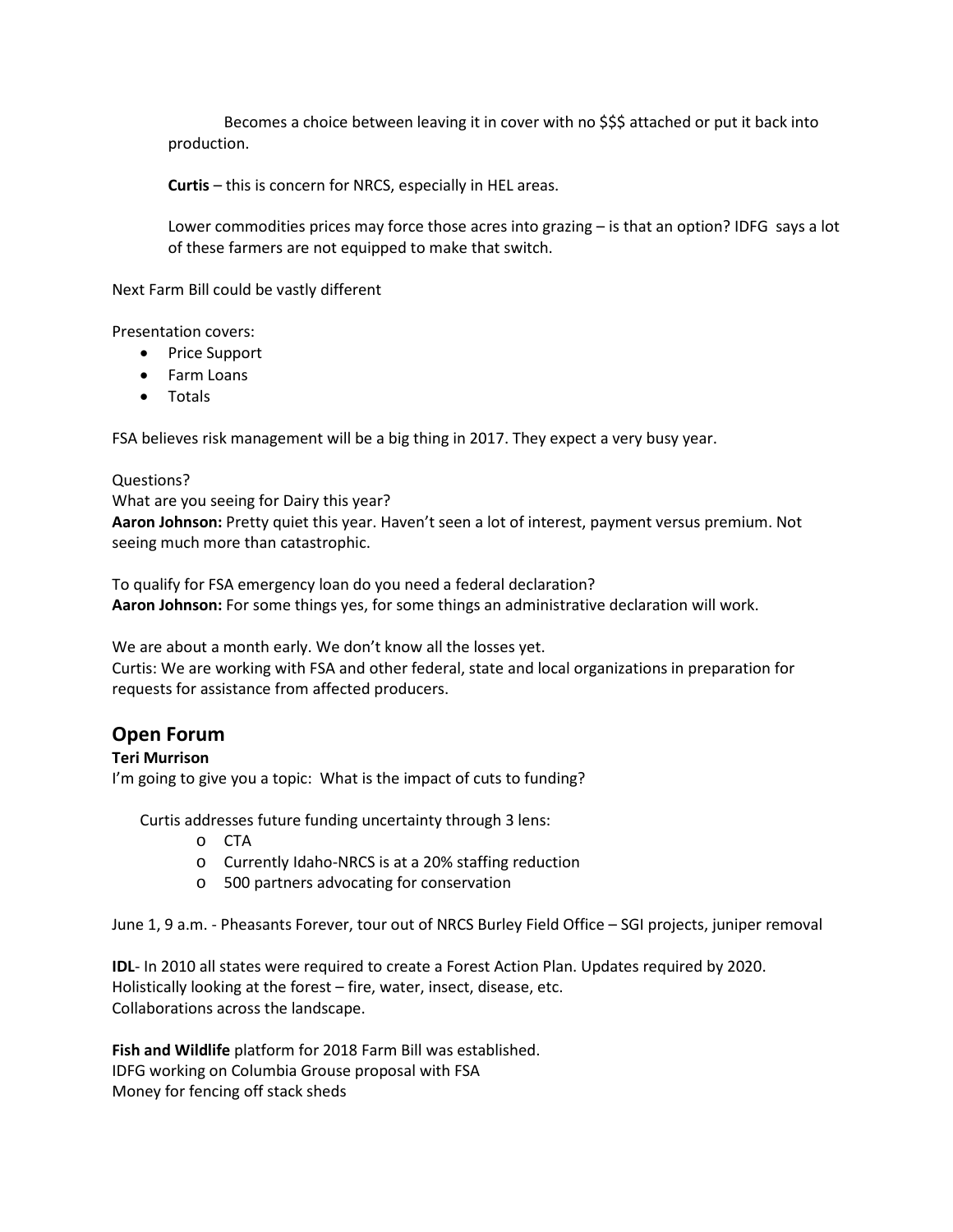Becomes a choice between leaving it in cover with no \$\$\$ attached or put it back into production.

**Curtis** – this is concern for NRCS, especially in HEL areas.

Lower commodities prices may force those acres into grazing – is that an option? IDFG says a lot of these farmers are not equipped to make that switch.

Next Farm Bill could be vastly different

Presentation covers:

- Price Support
- Farm Loans
- Totals

FSA believes risk management will be a big thing in 2017. They expect a very busy year.

#### Questions?

What are you seeing for Dairy this year?

**Aaron Johnson:** Pretty quiet this year. Haven't seen a lot of interest, payment versus premium. Not seeing much more than catastrophic.

To qualify for FSA emergency loan do you need a federal declaration? **Aaron Johnson:** For some things yes, for some things an administrative declaration will work.

We are about a month early. We don't know all the losses yet.

Curtis: We are working with FSA and other federal, state and local organizations in preparation for requests for assistance from affected producers.

## **Open Forum**

#### **Teri Murrison**

I'm going to give you a topic: What is the impact of cuts to funding?

Curtis addresses future funding uncertainty through 3 lens:

- o CTA
- o Currently Idaho-NRCS is at a 20% staffing reduction
- o 500 partners advocating for conservation

June 1, 9 a.m. - Pheasants Forever, tour out of NRCS Burley Field Office – SGI projects, juniper removal

**IDL**- In 2010 all states were required to create a Forest Action Plan. Updates required by 2020. Holistically looking at the forest – fire, water, insect, disease, etc. Collaborations across the landscape.

**Fish and Wildlife** platform for 2018 Farm Bill was established. IDFG working on Columbia Grouse proposal with FSA Money for fencing off stack sheds